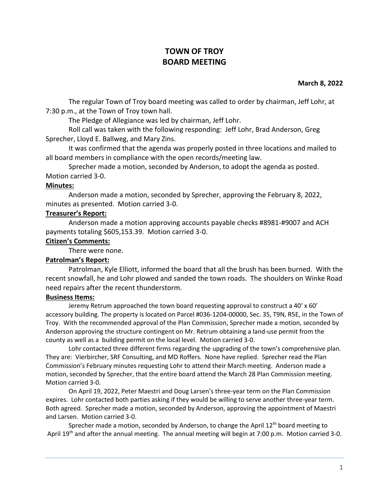# **TOWN OF TROY BOARD MEETING**

#### **March 8, 2022**

The regular Town of Troy board meeting was called to order by chairman, Jeff Lohr, at 7:30 p.m., at the Town of Troy town hall.

The Pledge of Allegiance was led by chairman, Jeff Lohr.

Roll call was taken with the following responding: Jeff Lohr, Brad Anderson, Greg Sprecher, Lloyd E. Ballweg, and Mary Zins.

It was confirmed that the agenda was properly posted in three locations and mailed to all board members in compliance with the open records/meeting law.

Sprecher made a motion, seconded by Anderson, to adopt the agenda as posted. Motion carried 3-0.

### **Minutes:**

Anderson made a motion, seconded by Sprecher, approving the February 8, 2022, minutes as presented. Motion carried 3-0.

### **Treasurer's Report:**

Anderson made a motion approving accounts payable checks #8981-#9007 and ACH payments totaling \$605,153.39. Motion carried 3-0.

### **Citizen's Comments:**

There were none.

## **Patrolman's Report:**

Patrolman, Kyle Elliott, informed the board that all the brush has been burned. With the recent snowfall, he and Lohr plowed and sanded the town roads. The shoulders on Winke Road need repairs after the recent thunderstorm.

#### **Business Items:**

Jeremy Retrum approached the town board requesting approval to construct a 40' x 60' accessory building. The property is located on Parcel #036-1204-00000, Sec. 35, T9N, R5E, in the Town of Troy. With the recommended approval of the Plan Commission, Sprecher made a motion, seconded by Anderson approving the structure contingent on Mr. Retrum obtaining a land-use permit from the county as well as a building permit on the local level. Motion carried 3-0.

Lohr contacted three different firms regarding the upgrading of the town's comprehensive plan. They are: Vierbircher, SRF Consulting, and MD Roffers. None have replied. Sprecher read the Plan Commission's February minutes requesting Lohr to attend their March meeting. Anderson made a motion, seconded by Sprecher, that the entire board attend the March 28 Plan Commission meeting. Motion carried 3-0.

On April 19, 2022, Peter Maestri and Doug Larsen's three-year term on the Plan Commission expires. Lohr contacted both parties asking if they would be willing to serve another three-year term. Both agreed. Sprecher made a motion, seconded by Anderson, approving the appointment of Maestri and Larsen. Motion carried 3-0.

Sprecher made a motion, seconded by Anderson, to change the April  $12<sup>th</sup>$  board meeting to April 19<sup>th</sup> and after the annual meeting. The annual meeting will begin at 7:00 p.m. Motion carried 3-0.